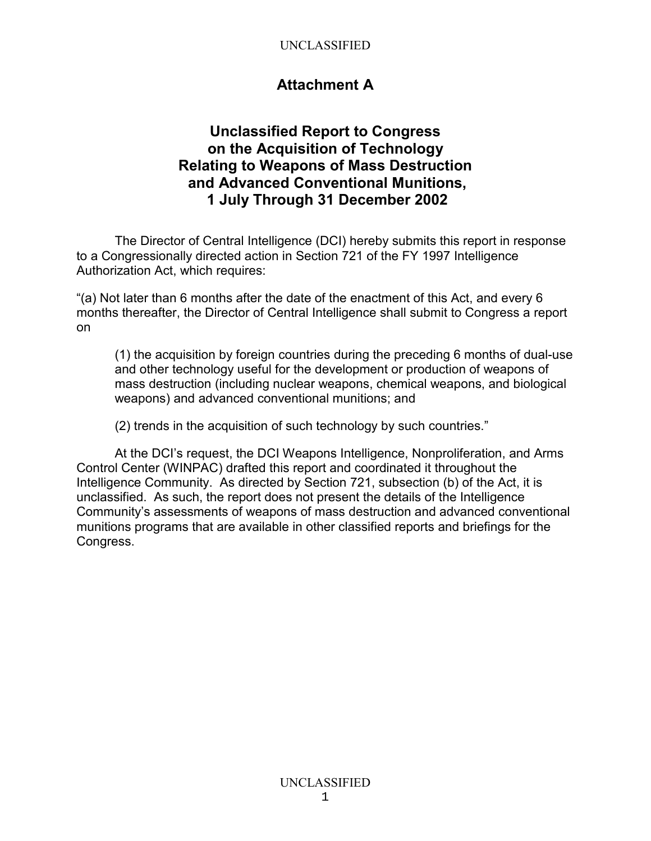## **Attachment A**

## **Unclassified Report to Congress on the Acquisition of Technology Relating to Weapons of Mass Destruction and Advanced Conventional Munitions, 1 July Through 31 December 2002**

The Director of Central Intelligence (DCI) hereby submits this report in response to a Congressionally directed action in Section 721 of the FY 1997 Intelligence Authorization Act, which requires:

"(a) Not later than 6 months after the date of the enactment of this Act, and every 6 months thereafter, the Director of Central Intelligence shall submit to Congress a report on

(1) the acquisition by foreign countries during the preceding 6 months of dual-use and other technology useful for the development or production of weapons of mass destruction (including nuclear weapons, chemical weapons, and biological weapons) and advanced conventional munitions; and

(2) trends in the acquisition of such technology by such countries."

At the DCI's request, the DCI Weapons Intelligence, Nonproliferation, and Arms Control Center (WINPAC) drafted this report and coordinated it throughout the Intelligence Community. As directed by Section 721, subsection (b) of the Act, it is unclassified. As such, the report does not present the details of the Intelligence Community's assessments of weapons of mass destruction and advanced conventional munitions programs that are available in other classified reports and briefings for the Congress.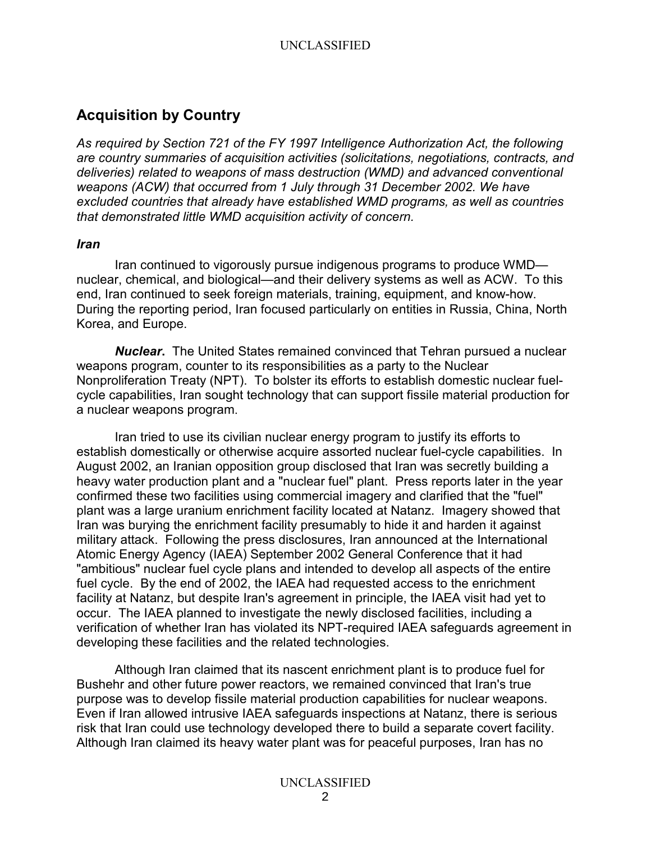# **Acquisition by Country**

*As required by Section 721 of the FY 1997 Intelligence Authorization Act, the following are country summaries of acquisition activities (solicitations, negotiations, contracts, and deliveries) related to weapons of mass destruction (WMD) and advanced conventional weapons (ACW) that occurred from 1 July through 31 December 2002. We have excluded countries that already have established WMD programs, as well as countries that demonstrated little WMD acquisition activity of concern.* 

#### *Iran*

Iran continued to vigorously pursue indigenous programs to produce WMD nuclear, chemical, and biological—and their delivery systems as well as ACW. To this end, Iran continued to seek foreign materials, training, equipment, and know-how. During the reporting period, Iran focused particularly on entities in Russia, China, North Korea, and Europe.

*Nuclear***.** The United States remained convinced that Tehran pursued a nuclear weapons program, counter to its responsibilities as a party to the Nuclear Nonproliferation Treaty (NPT). To bolster its efforts to establish domestic nuclear fuelcycle capabilities, Iran sought technology that can support fissile material production for a nuclear weapons program.

Iran tried to use its civilian nuclear energy program to justify its efforts to establish domestically or otherwise acquire assorted nuclear fuel-cycle capabilities. In August 2002, an Iranian opposition group disclosed that Iran was secretly building a heavy water production plant and a "nuclear fuel" plant. Press reports later in the year confirmed these two facilities using commercial imagery and clarified that the "fuel" plant was a large uranium enrichment facility located at Natanz. Imagery showed that Iran was burying the enrichment facility presumably to hide it and harden it against military attack. Following the press disclosures, Iran announced at the International Atomic Energy Agency (IAEA) September 2002 General Conference that it had "ambitious" nuclear fuel cycle plans and intended to develop all aspects of the entire fuel cycle. By the end of 2002, the IAEA had requested access to the enrichment facility at Natanz, but despite Iran's agreement in principle, the IAEA visit had yet to occur. The IAEA planned to investigate the newly disclosed facilities, including a verification of whether Iran has violated its NPT-required IAEA safeguards agreement in developing these facilities and the related technologies.

Although Iran claimed that its nascent enrichment plant is to produce fuel for Bushehr and other future power reactors, we remained convinced that Iran's true purpose was to develop fissile material production capabilities for nuclear weapons. Even if Iran allowed intrusive IAEA safeguards inspections at Natanz, there is serious risk that Iran could use technology developed there to build a separate covert facility. Although Iran claimed its heavy water plant was for peaceful purposes, Iran has no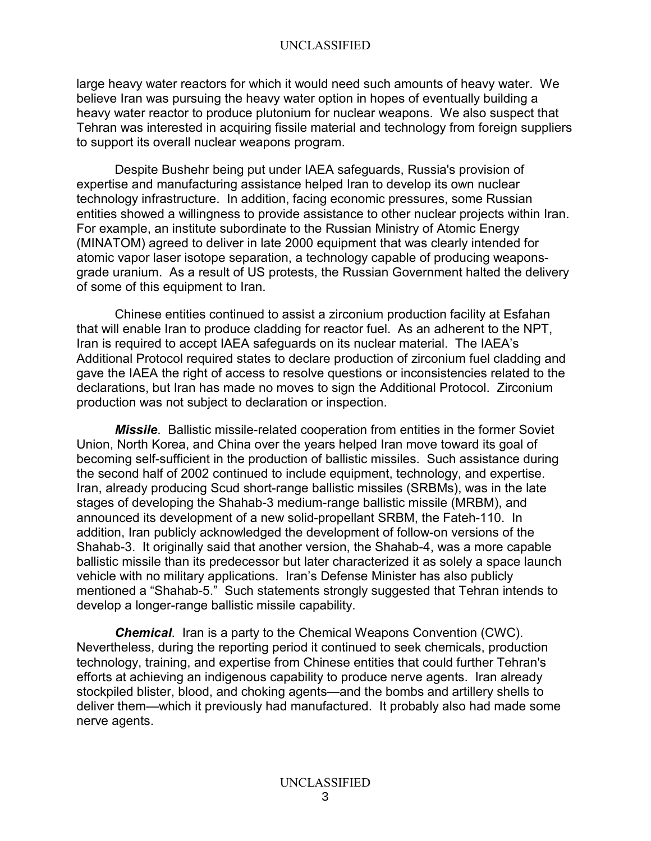large heavy water reactors for which it would need such amounts of heavy water. We believe Iran was pursuing the heavy water option in hopes of eventually building a heavy water reactor to produce plutonium for nuclear weapons. We also suspect that Tehran was interested in acquiring fissile material and technology from foreign suppliers to support its overall nuclear weapons program.

Despite Bushehr being put under IAEA safeguards, Russia's provision of expertise and manufacturing assistance helped Iran to develop its own nuclear technology infrastructure. In addition, facing economic pressures, some Russian entities showed a willingness to provide assistance to other nuclear projects within Iran. For example, an institute subordinate to the Russian Ministry of Atomic Energy (MINATOM) agreed to deliver in late 2000 equipment that was clearly intended for atomic vapor laser isotope separation, a technology capable of producing weaponsgrade uranium. As a result of US protests, the Russian Government halted the delivery of some of this equipment to Iran.

Chinese entities continued to assist a zirconium production facility at Esfahan that will enable Iran to produce cladding for reactor fuel. As an adherent to the NPT, Iran is required to accept IAEA safeguards on its nuclear material. The IAEA's Additional Protocol required states to declare production of zirconium fuel cladding and gave the IAEA the right of access to resolve questions or inconsistencies related to the declarations, but Iran has made no moves to sign the Additional Protocol. Zirconium production was not subject to declaration or inspection.

*Missile*. Ballistic missile-related cooperation from entities in the former Soviet Union, North Korea, and China over the years helped Iran move toward its goal of becoming self-sufficient in the production of ballistic missiles. Such assistance during the second half of 2002 continued to include equipment, technology, and expertise. Iran, already producing Scud short-range ballistic missiles (SRBMs), was in the late stages of developing the Shahab-3 medium-range ballistic missile (MRBM), and announced its development of a new solid-propellant SRBM, the Fateh-110. In addition, Iran publicly acknowledged the development of follow-on versions of the Shahab-3. It originally said that another version, the Shahab-4, was a more capable ballistic missile than its predecessor but later characterized it as solely a space launch vehicle with no military applications. Iran's Defense Minister has also publicly mentioned a "Shahab-5." Such statements strongly suggested that Tehran intends to develop a longer-range ballistic missile capability.

*Chemical*. Iran is a party to the Chemical Weapons Convention (CWC). Nevertheless, during the reporting period it continued to seek chemicals, production technology, training, and expertise from Chinese entities that could further Tehran's efforts at achieving an indigenous capability to produce nerve agents. Iran already stockpiled blister, blood, and choking agents—and the bombs and artillery shells to deliver them—which it previously had manufactured. It probably also had made some nerve agents.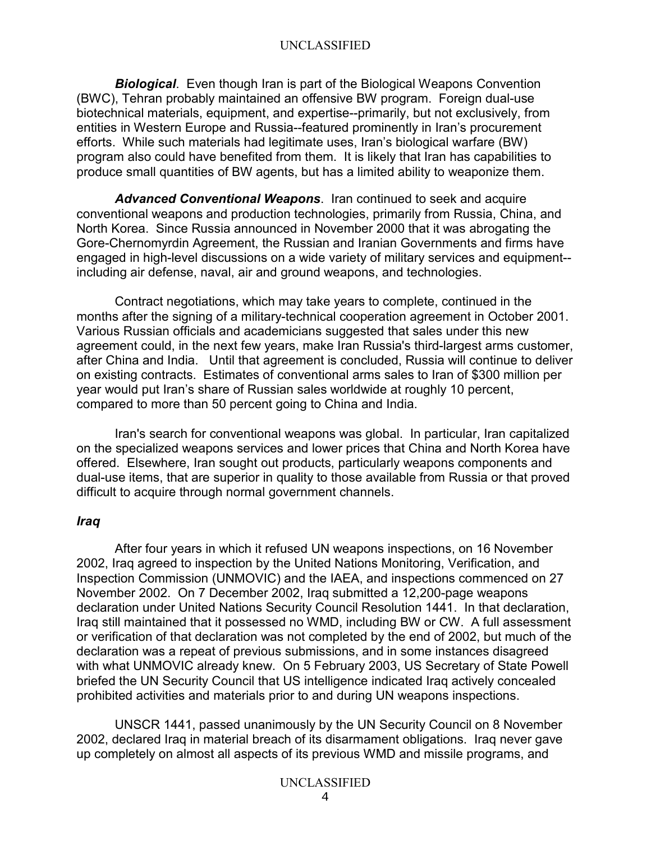*Biological*. Even though Iran is part of the Biological Weapons Convention (BWC), Tehran probably maintained an offensive BW program. Foreign dual-use biotechnical materials, equipment, and expertise--primarily, but not exclusively, from entities in Western Europe and Russia--featured prominently in Iran's procurement efforts. While such materials had legitimate uses, Iran's biological warfare (BW) program also could have benefited from them. It is likely that Iran has capabilities to produce small quantities of BW agents, but has a limited ability to weaponize them.

*Advanced Conventional Weapons*. Iran continued to seek and acquire conventional weapons and production technologies, primarily from Russia, China, and North Korea. Since Russia announced in November 2000 that it was abrogating the Gore-Chernomyrdin Agreement, the Russian and Iranian Governments and firms have engaged in high-level discussions on a wide variety of military services and equipment- including air defense, naval, air and ground weapons, and technologies.

Contract negotiations, which may take years to complete, continued in the months after the signing of a military-technical cooperation agreement in October 2001. Various Russian officials and academicians suggested that sales under this new agreement could, in the next few years, make Iran Russia's third-largest arms customer, after China and India. Until that agreement is concluded, Russia will continue to deliver on existing contracts. Estimates of conventional arms sales to Iran of \$300 million per year would put Iran's share of Russian sales worldwide at roughly 10 percent, compared to more than 50 percent going to China and India.

Iran's search for conventional weapons was global. In particular, Iran capitalized on the specialized weapons services and lower prices that China and North Korea have offered. Elsewhere, Iran sought out products, particularly weapons components and dual-use items, that are superior in quality to those available from Russia or that proved difficult to acquire through normal government channels.

#### *Iraq*

After four years in which it refused UN weapons inspections, on 16 November 2002, Iraq agreed to inspection by the United Nations Monitoring, Verification, and Inspection Commission (UNMOVIC) and the IAEA, and inspections commenced on 27 November 2002. On 7 December 2002, Iraq submitted a 12,200-page weapons declaration under United Nations Security Council Resolution 1441. In that declaration, Iraq still maintained that it possessed no WMD, including BW or CW. A full assessment or verification of that declaration was not completed by the end of 2002, but much of the declaration was a repeat of previous submissions, and in some instances disagreed with what UNMOVIC already knew. On 5 February 2003, US Secretary of State Powell briefed the UN Security Council that US intelligence indicated Iraq actively concealed prohibited activities and materials prior to and during UN weapons inspections.

UNSCR 1441, passed unanimously by the UN Security Council on 8 November 2002, declared Iraq in material breach of its disarmament obligations. Iraq never gave up completely on almost all aspects of its previous WMD and missile programs, and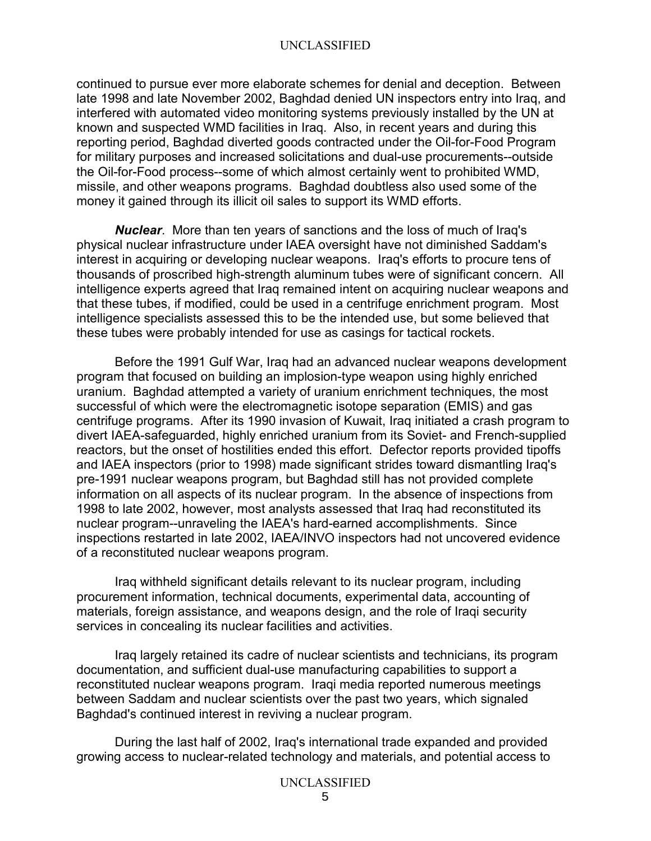continued to pursue ever more elaborate schemes for denial and deception. Between late 1998 and late November 2002, Baghdad denied UN inspectors entry into Iraq, and interfered with automated video monitoring systems previously installed by the UN at known and suspected WMD facilities in Iraq. Also, in recent years and during this reporting period, Baghdad diverted goods contracted under the Oil-for-Food Program for military purposes and increased solicitations and dual-use procurements--outside the Oil-for-Food process--some of which almost certainly went to prohibited WMD, missile, and other weapons programs. Baghdad doubtless also used some of the money it gained through its illicit oil sales to support its WMD efforts.

*Nuclear*. More than ten years of sanctions and the loss of much of Iraq's physical nuclear infrastructure under IAEA oversight have not diminished Saddam's interest in acquiring or developing nuclear weapons. Iraq's efforts to procure tens of thousands of proscribed high-strength aluminum tubes were of significant concern. All intelligence experts agreed that Iraq remained intent on acquiring nuclear weapons and that these tubes, if modified, could be used in a centrifuge enrichment program. Most intelligence specialists assessed this to be the intended use, but some believed that these tubes were probably intended for use as casings for tactical rockets.

Before the 1991 Gulf War, Iraq had an advanced nuclear weapons development program that focused on building an implosion-type weapon using highly enriched uranium. Baghdad attempted a variety of uranium enrichment techniques, the most successful of which were the electromagnetic isotope separation (EMIS) and gas centrifuge programs. After its 1990 invasion of Kuwait, Iraq initiated a crash program to divert IAEA-safeguarded, highly enriched uranium from its Soviet- and French-supplied reactors, but the onset of hostilities ended this effort. Defector reports provided tipoffs and IAEA inspectors (prior to 1998) made significant strides toward dismantling Iraq's pre-1991 nuclear weapons program, but Baghdad still has not provided complete information on all aspects of its nuclear program. In the absence of inspections from 1998 to late 2002, however, most analysts assessed that Iraq had reconstituted its nuclear program--unraveling the IAEA's hard-earned accomplishments. Since inspections restarted in late 2002, IAEA/INVO inspectors had not uncovered evidence of a reconstituted nuclear weapons program.

Iraq withheld significant details relevant to its nuclear program, including procurement information, technical documents, experimental data, accounting of materials, foreign assistance, and weapons design, and the role of Iraqi security services in concealing its nuclear facilities and activities.

Iraq largely retained its cadre of nuclear scientists and technicians, its program documentation, and sufficient dual-use manufacturing capabilities to support a reconstituted nuclear weapons program. Iraqi media reported numerous meetings between Saddam and nuclear scientists over the past two years, which signaled Baghdad's continued interest in reviving a nuclear program.

During the last half of 2002, Iraq's international trade expanded and provided growing access to nuclear-related technology and materials, and potential access to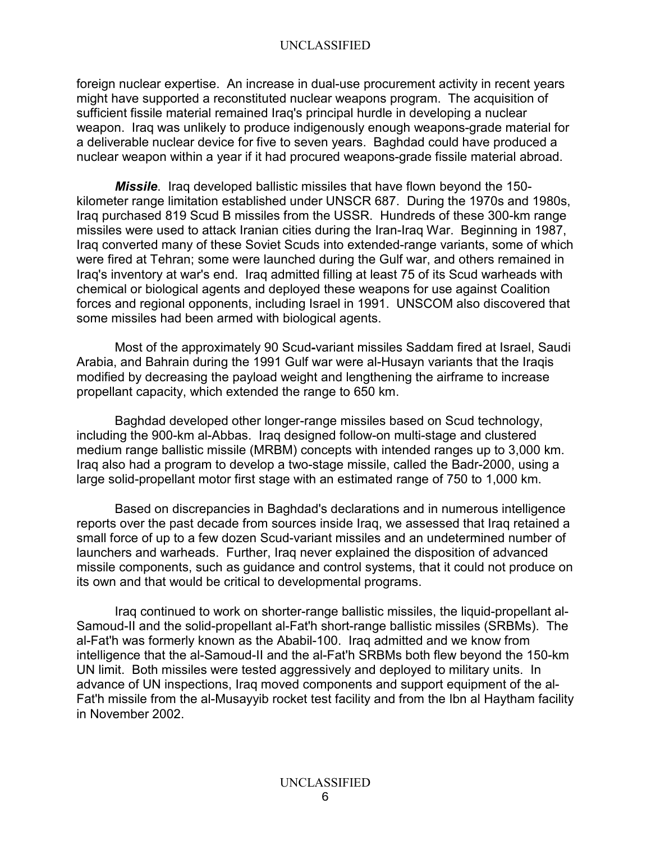foreign nuclear expertise. An increase in dual-use procurement activity in recent years might have supported a reconstituted nuclear weapons program. The acquisition of sufficient fissile material remained Iraq's principal hurdle in developing a nuclear weapon. Iraq was unlikely to produce indigenously enough weapons-grade material for a deliverable nuclear device for five to seven years. Baghdad could have produced a nuclear weapon within a year if it had procured weapons-grade fissile material abroad.

*Missile*. Iraq developed ballistic missiles that have flown beyond the 150 kilometer range limitation established under UNSCR 687. During the 1970s and 1980s, Iraq purchased 819 Scud B missiles from the USSR. Hundreds of these 300-km range missiles were used to attack Iranian cities during the Iran-Iraq War. Beginning in 1987, Iraq converted many of these Soviet Scuds into extended-range variants, some of which were fired at Tehran; some were launched during the Gulf war, and others remained in Iraq's inventory at war's end. Iraq admitted filling at least 75 of its Scud warheads with chemical or biological agents and deployed these weapons for use against Coalition forces and regional opponents, including Israel in 1991. UNSCOM also discovered that some missiles had been armed with biological agents.

Most of the approximately 90 Scud-variant missiles Saddam fired at Israel, Saudi Arabia, and Bahrain during the 1991 Gulf war were al-Husayn variants that the Iraqis modified by decreasing the payload weight and lengthening the airframe to increase propellant capacity, which extended the range to 650 km.

Baghdad developed other longer-range missiles based on Scud technology, including the 900-km al-Abbas. Iraq designed follow-on multi-stage and clustered medium range ballistic missile (MRBM) concepts with intended ranges up to 3,000 km. Iraq also had a program to develop a two-stage missile, called the Badr-2000, using a large solid-propellant motor first stage with an estimated range of 750 to 1,000 km.

Based on discrepancies in Baghdad's declarations and in numerous intelligence reports over the past decade from sources inside Iraq, we assessed that Iraq retained a small force of up to a few dozen Scud-variant missiles and an undetermined number of launchers and warheads. Further, Iraq never explained the disposition of advanced missile components, such as guidance and control systems, that it could not produce on its own and that would be critical to developmental programs.

Iraq continued to work on shorter-range ballistic missiles, the liquid-propellant al-Samoud-II and the solid-propellant al-Fat'h short-range ballistic missiles (SRBMs). The al-Fat'h was formerly known as the Ababil-100. Iraq admitted and we know from intelligence that the al-Samoud-II and the al-Fat'h SRBMs both flew beyond the 150-km UN limit. Both missiles were tested aggressively and deployed to military units. In advance of UN inspections, Iraq moved components and support equipment of the al-Fat'h missile from the al-Musayyib rocket test facility and from the Ibn al Haytham facility in November 2002.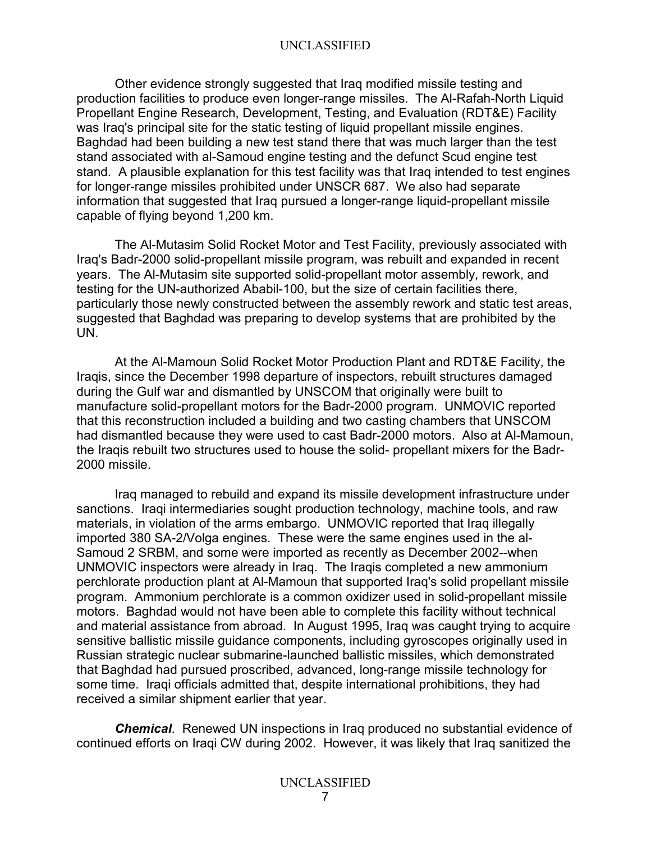Other evidence strongly suggested that Iraq modified missile testing and production facilities to produce even longer-range missiles. The Al-Rafah-North Liquid Propellant Engine Research, Development, Testing, and Evaluation (RDT&E) Facility was Iraq's principal site for the static testing of liquid propellant missile engines. Baghdad had been building a new test stand there that was much larger than the test stand associated with al-Samoud engine testing and the defunct Scud engine test stand. A plausible explanation for this test facility was that Iraq intended to test engines for longer-range missiles prohibited under UNSCR 687. We also had separate information that suggested that Iraq pursued a longer-range liquid-propellant missile capable of flying beyond 1,200 km.

The Al-Mutasim Solid Rocket Motor and Test Facility, previously associated with Iraq's Badr-2000 solid-propellant missile program, was rebuilt and expanded in recent years. The Al-Mutasim site supported solid-propellant motor assembly, rework, and testing for the UN-authorized Ababil-100, but the size of certain facilities there, particularly those newly constructed between the assembly rework and static test areas, suggested that Baghdad was preparing to develop systems that are prohibited by the UN.

At the Al-Mamoun Solid Rocket Motor Production Plant and RDT&E Facility, the Iraqis, since the December 1998 departure of inspectors, rebuilt structures damaged during the Gulf war and dismantled by UNSCOM that originally were built to manufacture solid-propellant motors for the Badr-2000 program. UNMOVIC reported that this reconstruction included a building and two casting chambers that UNSCOM had dismantled because they were used to cast Badr-2000 motors. Also at Al-Mamoun, the Iraqis rebuilt two structures used to house the solid- propellant mixers for the Badr-2000 missile.

Iraq managed to rebuild and expand its missile development infrastructure under sanctions. Iraqi intermediaries sought production technology, machine tools, and raw materials, in violation of the arms embargo. UNMOVIC reported that Iraq illegally imported 380 SA-2/Volga engines. These were the same engines used in the al-Samoud 2 SRBM, and some were imported as recently as December 2002--when UNMOVIC inspectors were already in Iraq. The Iraqis completed a new ammonium perchlorate production plant at Al-Mamoun that supported Iraq's solid propellant missile program. Ammonium perchlorate is a common oxidizer used in solid-propellant missile motors. Baghdad would not have been able to complete this facility without technical and material assistance from abroad. In August 1995, Iraq was caught trying to acquire sensitive ballistic missile guidance components, including gyroscopes originally used in Russian strategic nuclear submarine-launched ballistic missiles, which demonstrated that Baghdad had pursued proscribed, advanced, long-range missile technology for some time. Iraqi officials admitted that, despite international prohibitions, they had received a similar shipment earlier that year.

*Chemical*. Renewed UN inspections in Iraq produced no substantial evidence of continued efforts on Iraqi CW during 2002. However, it was likely that Iraq sanitized the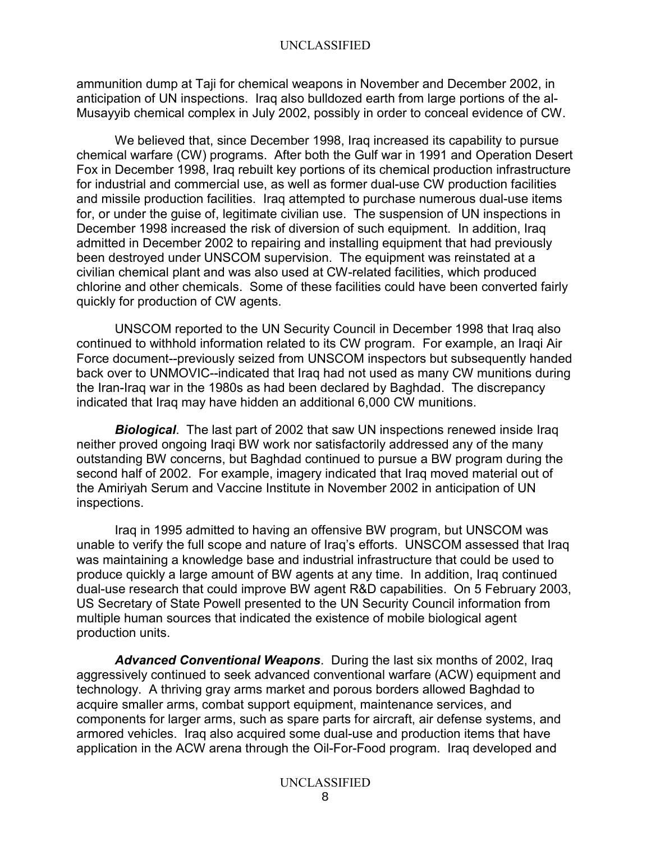ammunition dump at Taji for chemical weapons in November and December 2002, in anticipation of UN inspections. Iraq also bulldozed earth from large portions of the al-Musayyib chemical complex in July 2002, possibly in order to conceal evidence of CW.

We believed that, since December 1998, Iraq increased its capability to pursue chemical warfare (CW) programs. After both the Gulf war in 1991 and Operation Desert Fox in December 1998, Iraq rebuilt key portions of its chemical production infrastructure for industrial and commercial use, as well as former dual-use CW production facilities and missile production facilities. Iraq attempted to purchase numerous dual-use items for, or under the guise of, legitimate civilian use. The suspension of UN inspections in December 1998 increased the risk of diversion of such equipment. In addition, Iraq admitted in December 2002 to repairing and installing equipment that had previously been destroyed under UNSCOM supervision. The equipment was reinstated at a civilian chemical plant and was also used at CW-related facilities, which produced chlorine and other chemicals. Some of these facilities could have been converted fairly quickly for production of CW agents.

UNSCOM reported to the UN Security Council in December 1998 that Iraq also continued to withhold information related to its CW program. For example, an Iraqi Air Force document--previously seized from UNSCOM inspectors but subsequently handed back over to UNMOVIC--indicated that Iraq had not used as many CW munitions during the Iran-Iraq war in the 1980s as had been declared by Baghdad. The discrepancy indicated that Iraq may have hidden an additional 6,000 CW munitions.

*Biological*. The last part of 2002 that saw UN inspections renewed inside Iraq neither proved ongoing Iraqi BW work nor satisfactorily addressed any of the many outstanding BW concerns, but Baghdad continued to pursue a BW program during the second half of 2002. For example, imagery indicated that Iraq moved material out of the Amiriyah Serum and Vaccine Institute in November 2002 in anticipation of UN inspections.

Iraq in 1995 admitted to having an offensive BW program, but UNSCOM was unable to verify the full scope and nature of Iraq's efforts. UNSCOM assessed that Iraq was maintaining a knowledge base and industrial infrastructure that could be used to produce quickly a large amount of BW agents at any time. In addition, Iraq continued dual-use research that could improve BW agent R&D capabilities. On 5 February 2003, US Secretary of State Powell presented to the UN Security Council information from multiple human sources that indicated the existence of mobile biological agent production units.

*Advanced Conventional Weapons*. During the last six months of 2002, Iraq aggressively continued to seek advanced conventional warfare (ACW) equipment and technology. A thriving gray arms market and porous borders allowed Baghdad to acquire smaller arms, combat support equipment, maintenance services, and components for larger arms, such as spare parts for aircraft, air defense systems, and armored vehicles. Iraq also acquired some dual-use and production items that have application in the ACW arena through the Oil-For-Food program. Iraq developed and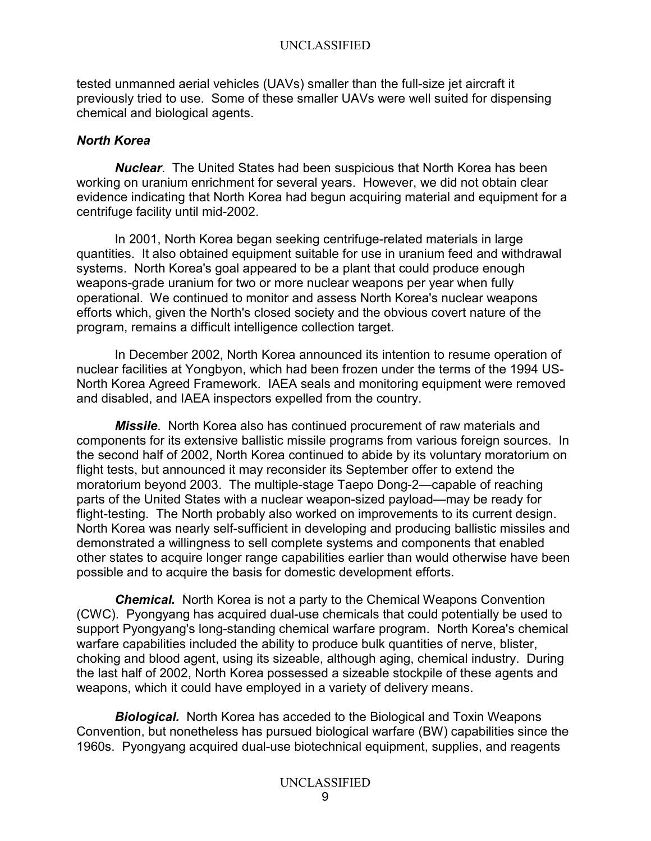tested unmanned aerial vehicles (UAVs) smaller than the full-size jet aircraft it previously tried to use. Some of these smaller UAVs were well suited for dispensing chemical and biological agents.

### *North Korea*

*Nuclear*. The United States had been suspicious that North Korea has been working on uranium enrichment for several years. However, we did not obtain clear evidence indicating that North Korea had begun acquiring material and equipment for a centrifuge facility until mid-2002.

In 2001, North Korea began seeking centrifuge-related materials in large quantities. It also obtained equipment suitable for use in uranium feed and withdrawal systems. North Korea's goal appeared to be a plant that could produce enough weapons-grade uranium for two or more nuclear weapons per year when fully operational. We continued to monitor and assess North Korea's nuclear weapons efforts which, given the North's closed society and the obvious covert nature of the program, remains a difficult intelligence collection target.

In December 2002, North Korea announced its intention to resume operation of nuclear facilities at Yongbyon, which had been frozen under the terms of the 1994 US-North Korea Agreed Framework. IAEA seals and monitoring equipment were removed and disabled, and IAEA inspectors expelled from the country.

*Missile*. North Korea also has continued procurement of raw materials and components for its extensive ballistic missile programs from various foreign sources. In the second half of 2002, North Korea continued to abide by its voluntary moratorium on flight tests, but announced it may reconsider its September offer to extend the moratorium beyond 2003. The multiple-stage Taepo Dong-2—capable of reaching parts of the United States with a nuclear weapon-sized payload—may be ready for flight-testing. The North probably also worked on improvements to its current design. North Korea was nearly self-sufficient in developing and producing ballistic missiles and demonstrated a willingness to sell complete systems and components that enabled other states to acquire longer range capabilities earlier than would otherwise have been possible and to acquire the basis for domestic development efforts.

*Chemical.* North Korea is not a party to the Chemical Weapons Convention (CWC). Pyongyang has acquired dual-use chemicals that could potentially be used to support Pyongyang's long-standing chemical warfare program. North Korea's chemical warfare capabilities included the ability to produce bulk quantities of nerve, blister, choking and blood agent, using its sizeable, although aging, chemical industry. During the last half of 2002, North Korea possessed a sizeable stockpile of these agents and weapons, which it could have employed in a variety of delivery means.

*Biological.* North Korea has acceded to the Biological and Toxin Weapons Convention, but nonetheless has pursued biological warfare (BW) capabilities since the 1960s. Pyongyang acquired dual-use biotechnical equipment, supplies, and reagents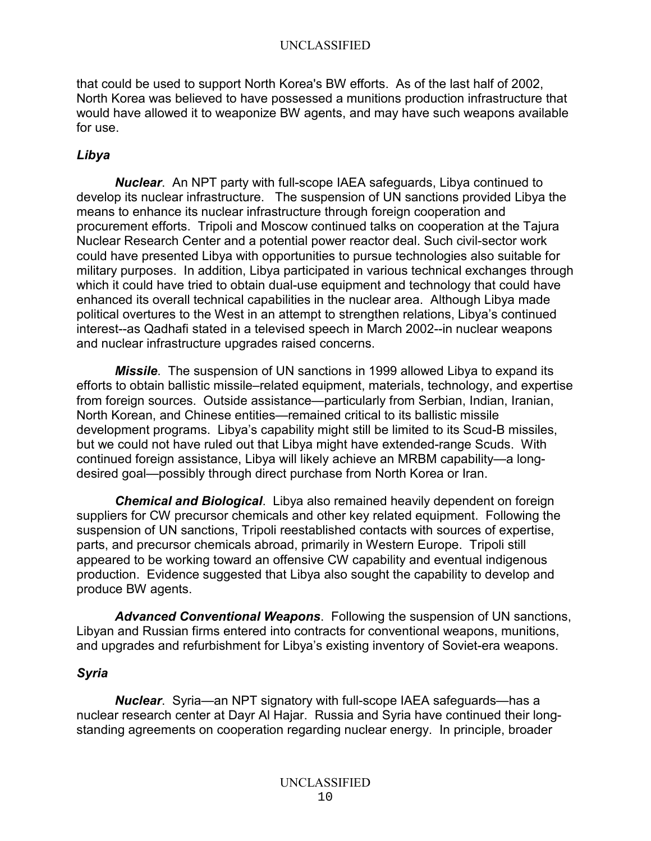that could be used to support North Korea's BW efforts. As of the last half of 2002, North Korea was believed to have possessed a munitions production infrastructure that would have allowed it to weaponize BW agents, and may have such weapons available for use.

## *Libya*

*Nuclear*. An NPT party with full-scope IAEA safeguards, Libya continued to develop its nuclear infrastructure. The suspension of UN sanctions provided Libya the means to enhance its nuclear infrastructure through foreign cooperation and procurement efforts. Tripoli and Moscow continued talks on cooperation at the Tajura Nuclear Research Center and a potential power reactor deal. Such civil-sector work could have presented Libya with opportunities to pursue technologies also suitable for military purposes. In addition, Libya participated in various technical exchanges through which it could have tried to obtain dual-use equipment and technology that could have enhanced its overall technical capabilities in the nuclear area. Although Libya made political overtures to the West in an attempt to strengthen relations, Libya's continued interest--as Qadhafi stated in a televised speech in March 2002--in nuclear weapons and nuclear infrastructure upgrades raised concerns.

*Missile*. The suspension of UN sanctions in 1999 allowed Libya to expand its efforts to obtain ballistic missile–related equipment, materials, technology, and expertise from foreign sources. Outside assistance—particularly from Serbian, Indian, Iranian, North Korean, and Chinese entities—remained critical to its ballistic missile development programs. Libya's capability might still be limited to its Scud-B missiles, but we could not have ruled out that Libya might have extended-range Scuds. With continued foreign assistance, Libya will likely achieve an MRBM capability—a longdesired goal—possibly through direct purchase from North Korea or Iran.

*Chemical and Biological*. Libya also remained heavily dependent on foreign suppliers for CW precursor chemicals and other key related equipment. Following the suspension of UN sanctions, Tripoli reestablished contacts with sources of expertise, parts, and precursor chemicals abroad, primarily in Western Europe. Tripoli still appeared to be working toward an offensive CW capability and eventual indigenous production. Evidence suggested that Libya also sought the capability to develop and produce BW agents.

*Advanced Conventional Weapons*. Following the suspension of UN sanctions, Libyan and Russian firms entered into contracts for conventional weapons, munitions, and upgrades and refurbishment for Libya's existing inventory of Soviet-era weapons.

## *Syria*

*Nuclear*. Syria—an NPT signatory with full-scope IAEA safeguards—has a nuclear research center at Dayr Al Hajar. Russia and Syria have continued their longstanding agreements on cooperation regarding nuclear energy. In principle, broader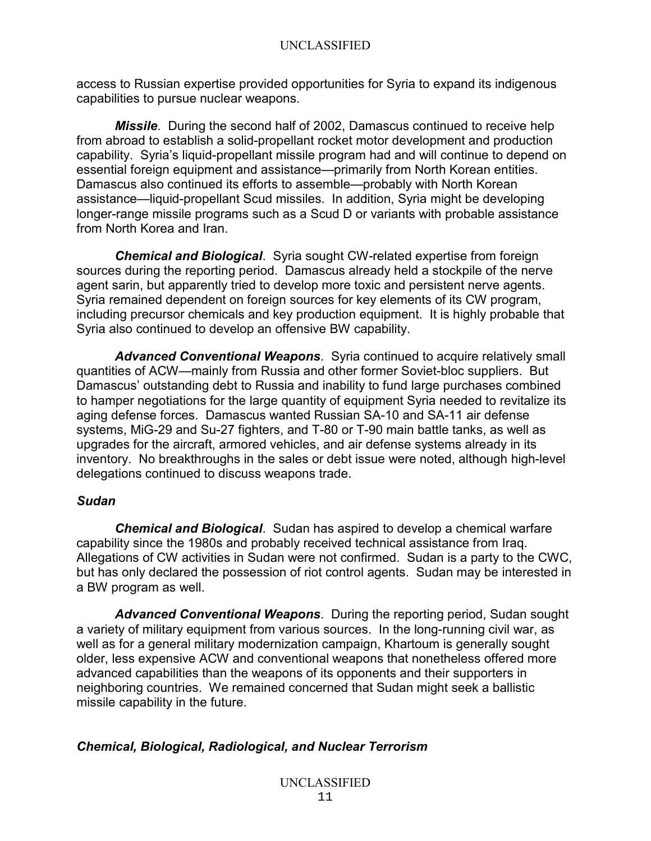access to Russian expertise provided opportunities for Syria to expand its indigenous capabilities to pursue nuclear weapons.

*Missile*. During the second half of 2002, Damascus continued to receive help from abroad to establish a solid-propellant rocket motor development and production capability. Syria's liquid-propellant missile program had and will continue to depend on essential foreign equipment and assistance—primarily from North Korean entities. Damascus also continued its efforts to assemble—probably with North Korean assistance—liquid-propellant Scud missiles. In addition, Syria might be developing longer-range missile programs such as a Scud D or variants with probable assistance from North Korea and Iran.

*Chemical and Biological*. Syria sought CW-related expertise from foreign sources during the reporting period. Damascus already held a stockpile of the nerve agent sarin, but apparently tried to develop more toxic and persistent nerve agents. Syria remained dependent on foreign sources for key elements of its CW program, including precursor chemicals and key production equipment. It is highly probable that Syria also continued to develop an offensive BW capability.

*Advanced Conventional Weapons*. Syria continued to acquire relatively small quantities of ACW—mainly from Russia and other former Soviet-bloc suppliers. But Damascus' outstanding debt to Russia and inability to fund large purchases combined to hamper negotiations for the large quantity of equipment Syria needed to revitalize its aging defense forces. Damascus wanted Russian SA-10 and SA-11 air defense systems, MiG-29 and Su-27 fighters, and T-80 or T-90 main battle tanks, as well as upgrades for the aircraft, armored vehicles, and air defense systems already in its inventory. No breakthroughs in the sales or debt issue were noted, although high-level delegations continued to discuss weapons trade.

### *Sudan*

*Chemical and Biological*. Sudan has aspired to develop a chemical warfare capability since the 1980s and probably received technical assistance from Iraq. Allegations of CW activities in Sudan were not confirmed. Sudan is a party to the CWC, but has only declared the possession of riot control agents. Sudan may be interested in a BW program as well.

*Advanced Conventional Weapons*. During the reporting period, Sudan sought a variety of military equipment from various sources. In the long-running civil war, as well as for a general military modernization campaign, Khartoum is generally sought older, less expensive ACW and conventional weapons that nonetheless offered more advanced capabilities than the weapons of its opponents and their supporters in neighboring countries. We remained concerned that Sudan might seek a ballistic missile capability in the future.

## *Chemical, Biological, Radiological, and Nuclear Terrorism*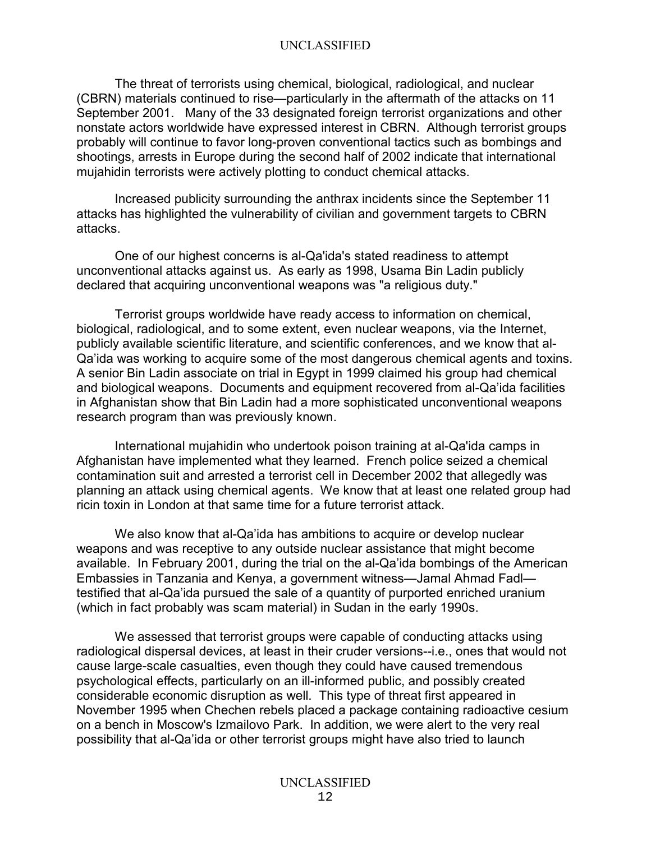The threat of terrorists using chemical, biological, radiological, and nuclear (CBRN) materials continued to rise—particularly in the aftermath of the attacks on 11 September 2001. Many of the 33 designated foreign terrorist organizations and other nonstate actors worldwide have expressed interest in CBRN. Although terrorist groups probably will continue to favor long-proven conventional tactics such as bombings and shootings, arrests in Europe during the second half of 2002 indicate that international mujahidin terrorists were actively plotting to conduct chemical attacks.

Increased publicity surrounding the anthrax incidents since the September 11 attacks has highlighted the vulnerability of civilian and government targets to CBRN attacks.

 One of our highest concerns is al-Qa'ida's stated readiness to attempt unconventional attacks against us. As early as 1998, Usama Bin Ladin publicly declared that acquiring unconventional weapons was "a religious duty."

Terrorist groups worldwide have ready access to information on chemical, biological, radiological, and to some extent, even nuclear weapons, via the Internet, publicly available scientific literature, and scientific conferences, and we know that al-Qa'ida was working to acquire some of the most dangerous chemical agents and toxins. A senior Bin Ladin associate on trial in Egypt in 1999 claimed his group had chemical and biological weapons. Documents and equipment recovered from al-Qa'ida facilities in Afghanistan show that Bin Ladin had a more sophisticated unconventional weapons research program than was previously known.

International mujahidin who undertook poison training at al-Qa'ida camps in Afghanistan have implemented what they learned. French police seized a chemical contamination suit and arrested a terrorist cell in December 2002 that allegedly was planning an attack using chemical agents. We know that at least one related group had ricin toxin in London at that same time for a future terrorist attack.

We also know that al-Qa'ida has ambitions to acquire or develop nuclear weapons and was receptive to any outside nuclear assistance that might become available. In February 2001, during the trial on the al-Qa'ida bombings of the American Embassies in Tanzania and Kenya, a government witness—Jamal Ahmad Fadl testified that al-Qa'ida pursued the sale of a quantity of purported enriched uranium (which in fact probably was scam material) in Sudan in the early 1990s.

We assessed that terrorist groups were capable of conducting attacks using radiological dispersal devices, at least in their cruder versions--i.e., ones that would not cause large-scale casualties, even though they could have caused tremendous psychological effects, particularly on an ill-informed public, and possibly created considerable economic disruption as well. This type of threat first appeared in November 1995 when Chechen rebels placed a package containing radioactive cesium on a bench in Moscow's Izmailovo Park. In addition, we were alert to the very real possibility that al-Qa'ida or other terrorist groups might have also tried to launch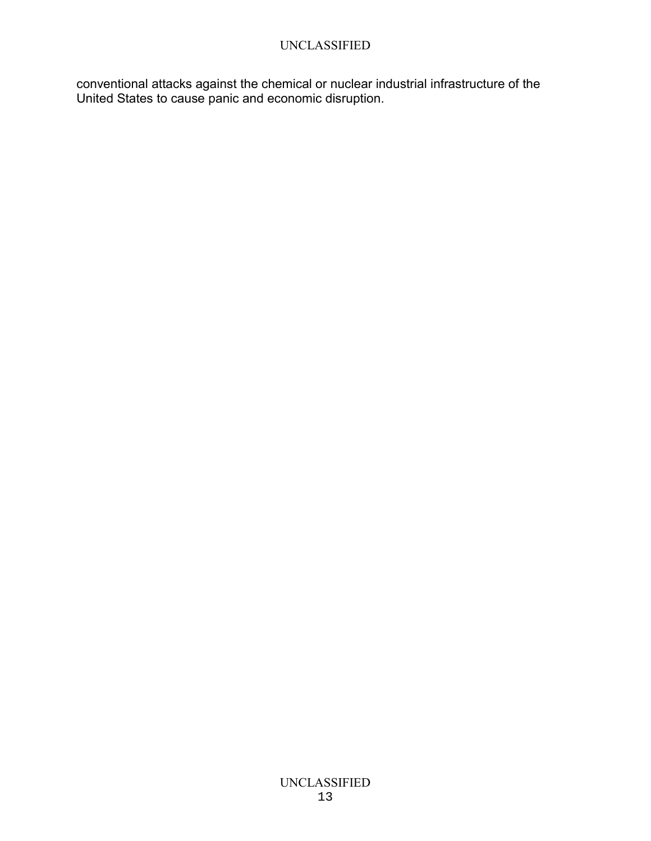conventional attacks against the chemical or nuclear industrial infrastructure of the United States to cause panic and economic disruption.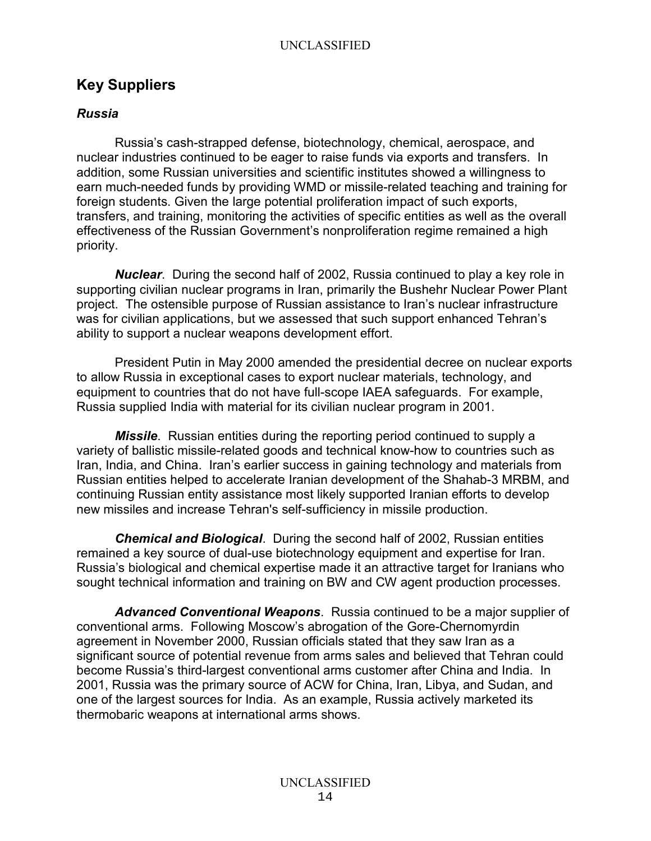# **Key Suppliers**

## *Russia*

Russia's cash-strapped defense, biotechnology, chemical, aerospace, and nuclear industries continued to be eager to raise funds via exports and transfers. In addition, some Russian universities and scientific institutes showed a willingness to earn much-needed funds by providing WMD or missile-related teaching and training for foreign students. Given the large potential proliferation impact of such exports, transfers, and training, monitoring the activities of specific entities as well as the overall effectiveness of the Russian Government's nonproliferation regime remained a high priority.

*Nuclear*. During the second half of 2002, Russia continued to play a key role in supporting civilian nuclear programs in Iran, primarily the Bushehr Nuclear Power Plant project. The ostensible purpose of Russian assistance to Iran's nuclear infrastructure was for civilian applications, but we assessed that such support enhanced Tehran's ability to support a nuclear weapons development effort.

President Putin in May 2000 amended the presidential decree on nuclear exports to allow Russia in exceptional cases to export nuclear materials, technology, and equipment to countries that do not have full-scope IAEA safeguards. For example, Russia supplied India with material for its civilian nuclear program in 2001.

*Missile*. Russian entities during the reporting period continued to supply a variety of ballistic missile-related goods and technical know-how to countries such as Iran, India, and China. Iran's earlier success in gaining technology and materials from Russian entities helped to accelerate Iranian development of the Shahab-3 MRBM, and continuing Russian entity assistance most likely supported Iranian efforts to develop new missiles and increase Tehran's self-sufficiency in missile production.

*Chemical and Biological*. During the second half of 2002, Russian entities remained a key source of dual-use biotechnology equipment and expertise for Iran. Russia's biological and chemical expertise made it an attractive target for Iranians who sought technical information and training on BW and CW agent production processes.

*Advanced Conventional Weapons*. Russia continued to be a major supplier of conventional arms. Following Moscow's abrogation of the Gore-Chernomyrdin agreement in November 2000, Russian officials stated that they saw Iran as a significant source of potential revenue from arms sales and believed that Tehran could become Russia's third-largest conventional arms customer after China and India. In 2001, Russia was the primary source of ACW for China, Iran, Libya, and Sudan, and one of the largest sources for India. As an example, Russia actively marketed its thermobaric weapons at international arms shows.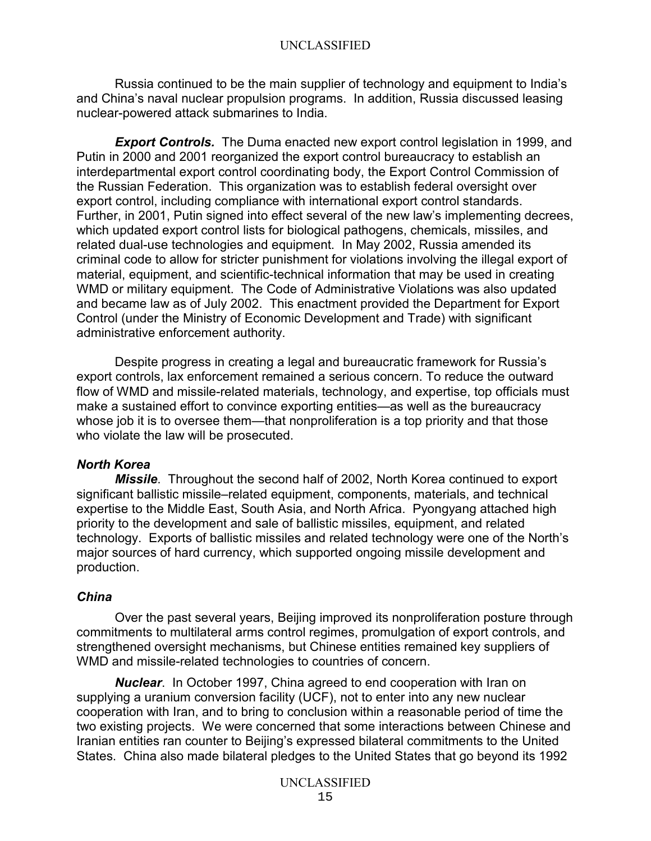Russia continued to be the main supplier of technology and equipment to India's and China's naval nuclear propulsion programs. In addition, Russia discussed leasing nuclear-powered attack submarines to India.

*Export Controls.* The Duma enacted new export control legislation in 1999, and Putin in 2000 and 2001 reorganized the export control bureaucracy to establish an interdepartmental export control coordinating body, the Export Control Commission of the Russian Federation. This organization was to establish federal oversight over export control, including compliance with international export control standards. Further, in 2001, Putin signed into effect several of the new law's implementing decrees, which updated export control lists for biological pathogens, chemicals, missiles, and related dual-use technologies and equipment. In May 2002, Russia amended its criminal code to allow for stricter punishment for violations involving the illegal export of material, equipment, and scientific-technical information that may be used in creating WMD or military equipment. The Code of Administrative Violations was also updated and became law as of July 2002. This enactment provided the Department for Export Control (under the Ministry of Economic Development and Trade) with significant administrative enforcement authority.

Despite progress in creating a legal and bureaucratic framework for Russia's export controls, lax enforcement remained a serious concern. To reduce the outward flow of WMD and missile-related materials, technology, and expertise, top officials must make a sustained effort to convince exporting entities—as well as the bureaucracy whose job it is to oversee them—that nonproliferation is a top priority and that those who violate the law will be prosecuted.

### *North Korea*

*Missile*. Throughout the second half of 2002, North Korea continued to export significant ballistic missile–related equipment, components, materials, and technical expertise to the Middle East, South Asia, and North Africa. Pyongyang attached high priority to the development and sale of ballistic missiles, equipment, and related technology. Exports of ballistic missiles and related technology were one of the North's major sources of hard currency, which supported ongoing missile development and production.

### *China*

 Over the past several years, Beijing improved its nonproliferation posture through commitments to multilateral arms control regimes, promulgation of export controls, and strengthened oversight mechanisms, but Chinese entities remained key suppliers of WMD and missile-related technologies to countries of concern.

*Nuclear*. In October 1997, China agreed to end cooperation with Iran on supplying a uranium conversion facility (UCF), not to enter into any new nuclear cooperation with Iran, and to bring to conclusion within a reasonable period of time the two existing projects. We were concerned that some interactions between Chinese and Iranian entities ran counter to Beijing's expressed bilateral commitments to the United States. China also made bilateral pledges to the United States that go beyond its 1992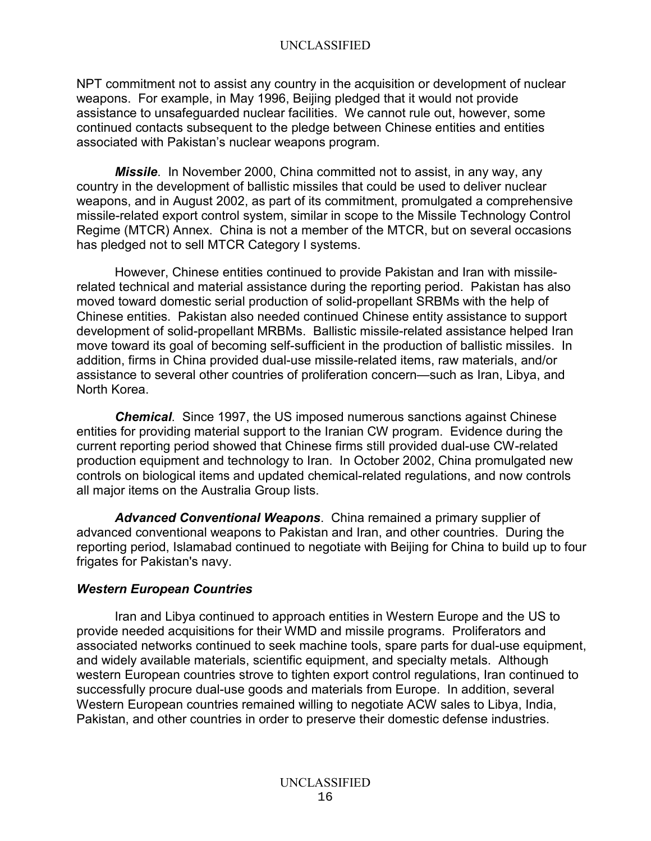NPT commitment not to assist any country in the acquisition or development of nuclear weapons. For example, in May 1996, Beijing pledged that it would not provide assistance to unsafeguarded nuclear facilities. We cannot rule out, however, some continued contacts subsequent to the pledge between Chinese entities and entities associated with Pakistan's nuclear weapons program.

*Missile*. In November 2000, China committed not to assist, in any way, any country in the development of ballistic missiles that could be used to deliver nuclear weapons, and in August 2002, as part of its commitment, promulgated a comprehensive missile-related export control system, similar in scope to the Missile Technology Control Regime (MTCR) Annex. China is not a member of the MTCR, but on several occasions has pledged not to sell MTCR Category I systems.

However, Chinese entities continued to provide Pakistan and Iran with missilerelated technical and material assistance during the reporting period. Pakistan has also moved toward domestic serial production of solid-propellant SRBMs with the help of Chinese entities. Pakistan also needed continued Chinese entity assistance to support development of solid-propellant MRBMs. Ballistic missile-related assistance helped Iran move toward its goal of becoming self-sufficient in the production of ballistic missiles. In addition, firms in China provided dual-use missile-related items, raw materials, and/or assistance to several other countries of proliferation concern—such as Iran, Libya, and North Korea.

*Chemical*. Since 1997, the US imposed numerous sanctions against Chinese entities for providing material support to the Iranian CW program. Evidence during the current reporting period showed that Chinese firms still provided dual-use CW-related production equipment and technology to Iran. In October 2002, China promulgated new controls on biological items and updated chemical-related regulations, and now controls all major items on the Australia Group lists.

*Advanced Conventional Weapons*. China remained a primary supplier of advanced conventional weapons to Pakistan and Iran, and other countries. During the reporting period, Islamabad continued to negotiate with Beijing for China to build up to four frigates for Pakistan's navy.

## *Western European Countries*

Iran and Libya continued to approach entities in Western Europe and the US to provide needed acquisitions for their WMD and missile programs. Proliferators and associated networks continued to seek machine tools, spare parts for dual-use equipment, and widely available materials, scientific equipment, and specialty metals. Although western European countries strove to tighten export control regulations, Iran continued to successfully procure dual-use goods and materials from Europe. In addition, several Western European countries remained willing to negotiate ACW sales to Libya, India, Pakistan, and other countries in order to preserve their domestic defense industries.